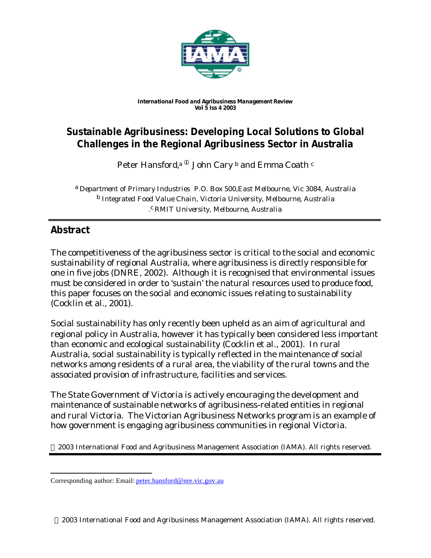

#### *International Food and Agribusiness Management Review Vol 5 Iss 4 2003*

# **Sustainable Agribusiness: Developing Local Solutions to Global Challenges in the Regional Agribusiness Sector in Australia**

Peter Hansford,<sup>a  $^\text{\textregistered}$  John Cary  $^\text{\text{b}}$  and Emma Coath  $^\text{\text{c}}$ </sup>

a *Department of Primary Industries P.O. Box 500,East Melbourne, Vic 3084, Australia* b *Integrated Food Value Chain, Victoria University, Melbourne, Australia .* c *RMIT University, Melbourne, Australia*

# **Abstract**

l

The competitiveness of the agribusiness sector is critical to the social and economic sustainability of regional Australia, where agribusiness is directly responsible for one in five jobs (DNRE, 2002). Although it is recognised that environmental issues must be considered in order to 'sustain' the natural resources used to produce food, this paper focuses on the social and economic issues relating to sustainability (Cocklin et al., 2001).

Social sustainability has only recently been upheld as an aim of agricultural and regional policy in Australia, however it has typically been considered less important than economic and ecological sustainability (Cocklin et al., 2001). In rural Australia, social sustainability is typically reflected in the maintenance of social networks among residents of a rural area, the viability of the rural towns and the associated provision of infrastructure, facilities and services.

The State Government of Victoria is actively encouraging the development and maintenance of sustainable networks of agribusiness-related entities in regional and rural Victoria. The Victorian Agribusiness Networks program is an example of how government is engaging agribusiness communities in regional Victoria.

2003 International Food and Agribusiness Management Association (IAMA). All rights reserved.

Corresponding author: Email: peter.hansford@nre.vic.gov.au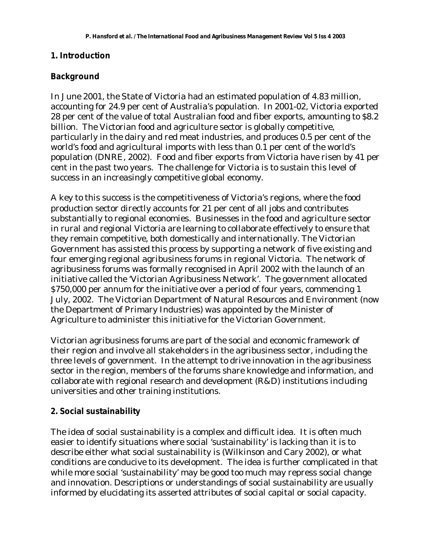### **1. Introduction**

# **Background**

In June 2001, the State of Victoria had an estimated population of 4.83 million, accounting for 24.9 per cent of Australia's population. In 2001-02, Victoria exported 28 per cent of the value of total Australian food and fiber exports, amounting to \$8.2 billion. The Victorian food and agriculture sector is globally competitive, particularly in the dairy and red meat industries, and produces 0.5 per cent of the world's food and agricultural imports with less than 0.1 per cent of the world's population (DNRE, 2002). Food and fiber exports from Victoria have risen by 41 per cent in the past two years. The challenge for Victoria is to sustain this level of success in an increasingly competitive global economy.

A key to this success is the competitiveness of Victoria's regions, where the food production sector directly accounts for 21 per cent of all jobs and contributes substantially to regional economies. Businesses in the food and agriculture sector in rural and regional Victoria are learning to collaborate effectively to ensure that they remain competitive, both domestically and internationally. The Victorian Government has assisted this process by supporting a network of five existing and four emerging regional agribusiness forums in regional Victoria. The network of agribusiness forums was formally recognised in April 2002 with the launch of an initiative called the 'Victorian Agribusiness Network'. The government allocated \$750,000 per annum for the initiative over a period of four years, commencing 1 July, 2002. The Victorian Department of Natural Resources and Environment (now the Department of Primary Industries) was appointed by the Minister of Agriculture to administer this initiative for the Victorian Government.

Victorian agribusiness forums are part of the social and economic framework of their region and involve all stakeholders in the agribusiness sector, including the three levels of government. In the attempt to drive innovation in the agribusiness sector in the region, members of the forums share knowledge and information, and collaborate with regional research and development (R&D) institutions including universities and other training institutions.

# **2. Social sustainability**

The idea of social sustainability is a complex and difficult idea. It is often much easier to identify situations where social 'sustainability' is lacking than it is to describe either what social sustainability is (Wilkinson and Cary 2002), or what conditions are conducive to its development. The idea is further complicated in that while more social 'sustainability' may be good too much may repress social change and innovation. Descriptions or understandings of social sustainability are usually informed by elucidating its asserted attributes of social capital or social capacity.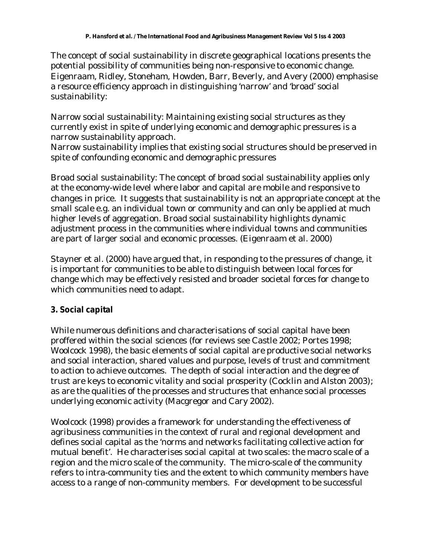The concept of social sustainability in discrete geographical locations presents the potential possibility of communities being non-responsive to economic change. Eigenraam, Ridley, Stoneham, Howden, Barr, Beverly, and Avery (2000) emphasise a resource efficiency approach in distinguishing 'narrow' and 'broad' social sustainability:

Narrow social sustainability: Maintaining existing social structures as they currently exist in spite of underlying economic and demographic pressures is a narrow sustainability approach.

Narrow sustainability implies that existing social structures should be preserved in spite of confounding economic and demographic pressures

Broad social sustainability: The concept of broad social sustainability applies only at the economy-wide level where labor and capital are mobile and responsive to changes in price. It suggests that sustainability is not an appropriate concept at the small scale e.g. an individual town or community and can only be applied at much higher levels of aggregation. Broad social sustainability highlights dynamic adjustment process in the communities where individual towns and communities are part of larger social and economic processes. (Eigenraam et al. 2000)

Stayner et al. (2000) have argued that, in responding to the pressures of change, it is important for communities to be able to distinguish between local forces for change which may be effectively resisted and broader societal forces for change to which communities need to adapt.

# **3. Social capital**

While numerous definitions and characterisations of social capital have been proffered within the social sciences (for reviews see Castle 2002; Portes 1998; Woolcock 1998), the basic elements of social capital are productive social networks and social interaction, shared values and purpose, levels of trust and commitment to action to achieve outcomes. The depth of social interaction and the degree of trust are keys to economic vitality and social prosperity (Cocklin and Alston 2003); as are the qualities of the processes and structures that enhance social processes underlying economic activity (Macgregor and Cary 2002).

Woolcock (1998) provides a framework for understanding the effectiveness of agribusiness communities in the context of rural and regional development and defines social capital as the 'norms and networks facilitating collective action for mutual benefit'. He characterises social capital at two scales: the macro scale of a region and the micro scale of the community. The micro-scale of the community refers to intra-community ties and the extent to which community members have access to a range of non-community members. For development to be successful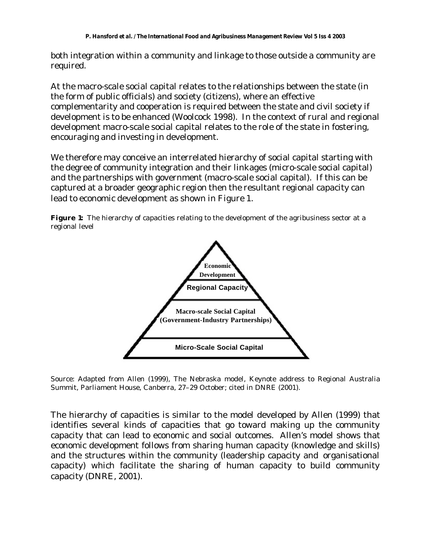both integration within a community and linkage to those outside a community are required.

At the macro-scale social capital relates to the relationships between the state (in the form of public officials) and society (citizens), where an effective complementarity and cooperation is required between the state and civil society if development is to be enhanced (Woolcock 1998). In the context of rural and regional development macro-scale social capital relates to the role of the state in fostering, encouraging and investing in development.

We therefore may conceive an interrelated hierarchy of social capital starting with the degree of community integration and their linkages (micro-scale social capital) and the partnerships with government (macro-scale social capital). If this can be captured at a broader geographic region then the resultant regional capacity can lead to economic development as shown in Figure 1.





Source: Adapted from Allen (1999), The Nebraska model, Keynote address to Regional Australia Summit, Parliament House, Canberra, 27–29 October; cited in DNRE (2001).

The hierarchy of capacities is similar to the model developed by Allen (1999) that identifies several kinds of capacities that go toward making up the community capacity that can lead to economic and social outcomes. Allen's model shows that economic development follows from sharing human capacity (knowledge and skills) and the structures within the community (leadership capacity and organisational capacity) which facilitate the sharing of human capacity to build community capacity (DNRE, 2001).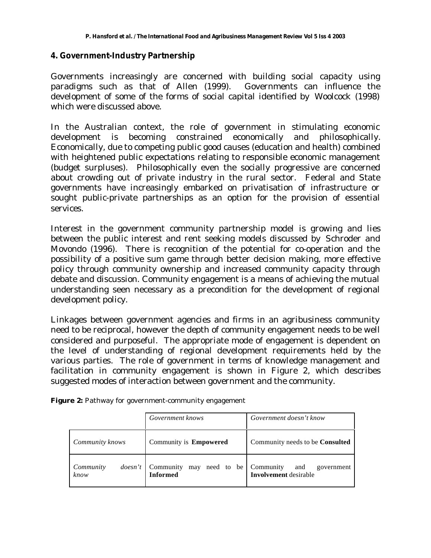### **4. Government-Industry Partnership**

Governments increasingly are concerned with building social capacity using paradigms such as that of Allen (1999). Governments can influence the development of some of the forms of social capital identified by Woolcock (1998) which were discussed above.

In the Australian context, the role of government in stimulating economic development is becoming constrained economically and philosophically. Economically, due to competing public good causes (education and health) combined with heightened public expectations relating to responsible economic management (budget surpluses). Philosophically even the socially progressive are concerned about crowding out of private industry in the rural sector. Federal and State governments have increasingly embarked on privatisation of infrastructure or sought public-private partnerships as an option for the provision of essential services.

Interest in the government community partnership model is growing and lies between the public interest and rent seeking models discussed by Schroder and Movondo (1996). There is recognition of the potential for co-operation and the possibility of a positive sum game through better decision making, more effective policy through community ownership and increased community capacity through debate and discussion. Community engagement is a means of achieving the mutual understanding seen necessary as a precondition for the development of regional development policy.

Linkages between government agencies and firms in an agribusiness community need to be reciprocal, however the depth of community engagement needs to be well considered and purposeful. The appropriate mode of engagement is dependent on the level of understanding of regional development requirements held by the various parties. The role of government in terms of knowledge management and facilitation in community engagement is shown in Figure 2, which describes suggested modes of interaction between government and the community.

|  | Figure 2: Pathway for government-community engagement |
|--|-------------------------------------------------------|
|  |                                                       |

|                               | Government knows                                      | Government doesn't know                           |  |  |
|-------------------------------|-------------------------------------------------------|---------------------------------------------------|--|--|
| Community knows               | Community is Empowered                                | Community needs to be <b>Consulted</b>            |  |  |
| Community<br>does n't<br>know | Community may need to be Community<br><b>Informed</b> | government<br>and<br><b>Involvement</b> desirable |  |  |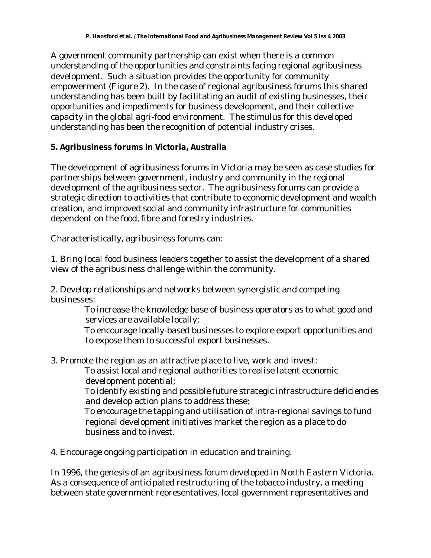A government community partnership can exist when there is a common understanding of the opportunities and constraints facing regional agribusiness development. Such a situation provides the opportunity for community empowerment (Figure 2). In the case of regional agribusiness forums this shared understanding has been built by facilitating an audit of existing businesses, their opportunities and impediments for business development, and their collective capacity in the global agri-food environment. The stimulus for this developed understanding has been the recognition of potential industry crises.

# **5. Agribusiness forums in Victoria, Australia**

The development of agribusiness forums in Victoria may be seen as case studies for partnerships between government, industry and community in the regional development of the agribusiness sector. The agribusiness forums can provide a strategic direction to activities that contribute to economic development and wealth creation, and improved social and community infrastructure for communities dependent on the food, fibre and forestry industries.

Characteristically, agribusiness forums can:

1. Bring local food business leaders together to assist the development of a shared view of the agribusiness challenge within the community.

2. Develop relationships and networks between synergistic and competing businesses:

 To increase the knowledge base of business operators as to what good and services are available locally;

 To encourage locally-based businesses to explore export opportunities and to expose them to successful export businesses.

3. Promote the region as an attractive place to live, work and invest:

 To assist local and regional authorities to realise latent economic development potential;

 To identify existing and possible future strategic infrastructure deficiencies and develop action plans to address these;

 To encourage the tapping and utilisation of intra-regional savings to fund regional development initiatives market the region as a place to do business and to invest.

4. Encourage ongoing participation in education and training.

In 1996, the genesis of an agribusiness forum developed in North Eastern Victoria. As a consequence of anticipated restructuring of the tobacco industry, a meeting between state government representatives, local government representatives and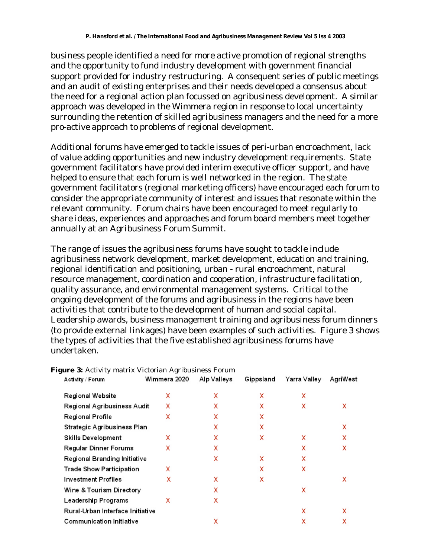business people identified a need for more active promotion of regional strengths and the opportunity to fund industry development with government financial support provided for industry restructuring. A consequent series of public meetings and an audit of existing enterprises and their needs developed a consensus about the need for a regional action plan focussed on agribusiness development. A similar approach was developed in the Wimmera region in response to local uncertainty surrounding the retention of skilled agribusiness managers and the need for a more pro-active approach to problems of regional development.

Additional forums have emerged to tackle issues of peri-urban encroachment, lack of value adding opportunities and new industry development requirements. State government facilitators have provided interim executive officer support, and have helped to ensure that each forum is well networked in the region. The state government facilitators (regional marketing officers) have encouraged each forum to consider the appropriate community of interest and issues that resonate within the relevant community. Forum chairs have been encouraged to meet regularly to share ideas, experiences and approaches and forum board members meet together annually at an Agribusiness Forum Summit.

The range of issues the agribusiness forums have sought to tackle include agribusiness network development, market development, education and training, regional identification and positioning, urban - rural encroachment, natural resource management, coordination and cooperation, infrastructure facilitation, quality assurance, and environmental management systems. Critical to the ongoing development of the forums and agribusiness in the regions have been activities that contribute to the development of human and social capital. Leadership awards, business management training and agribusiness forum dinners (to provide external linkages) have been examples of such activities. Figure 3 shows the types of activities that the five established agribusiness forums have undertaken.

| Activity / Forum                 | Wimmera 2020 | Alp Valleys | Gippsland | Yarra Valley | AgriWest |
|----------------------------------|--------------|-------------|-----------|--------------|----------|
| Regional Website                 | x            | x           | x         | x            |          |
| Regional Agribusiness Audit      | x            | x           | x         | x            | x        |
| Regional Profile                 | x            | X           | x         |              |          |
| Strategic Agribusiness Plan      |              | x           | x         |              | x        |
| <b>Skills Development</b>        | x            | x           | x         | x            | x        |
| Regular Dinner Forums            | x            | x           |           | x            | x        |
| Regional Branding Initiative     |              | Χ           | x         | x            |          |
| Trade Show Participation         | x            |             | x         | x            |          |
| <b>Investment Profiles</b>       | x            | x           | x         |              | x        |
| Wine & Tourism Directory         |              | χ           |           | x            |          |
| Leadership Programs              | x            | x           |           |              |          |
| Rural-Urban Interface Initiative |              |             |           | x            | x        |
| Communication Initiative         |              | χ           |           | x            | x        |
|                                  |              |             |           |              |          |

#### **Figure 3:** Activity matrix Victorian Agribusiness Forum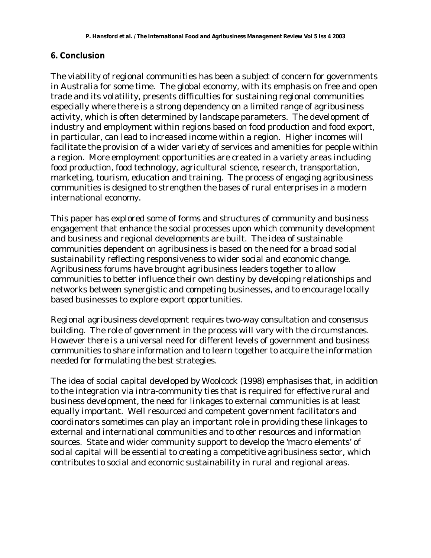## **6. Conclusion**

The viability of regional communities has been a subject of concern for governments in Australia for some time. The global economy, with its emphasis on free and open trade and its volatility, presents difficulties for sustaining regional communities especially where there is a strong dependency on a limited range of agribusiness activity, which is often determined by landscape parameters. The development of industry and employment within regions based on food production and food export, in particular, can lead to increased income within a region. Higher incomes will facilitate the provision of a wider variety of services and amenities for people within a region. More employment opportunities are created in a variety areas including food production, food technology, agricultural science, research, transportation, marketing, tourism, education and training. The process of engaging agribusiness communities is designed to strengthen the bases of rural enterprises in a modern international economy.

This paper has explored some of forms and structures of community and business engagement that enhance the social processes upon which community development and business and regional developments are built. The idea of sustainable communities dependent on agribusiness is based on the need for a broad social sustainability reflecting responsiveness to wider social and economic change. Agribusiness forums have brought agribusiness leaders together to allow communities to better influence their own destiny by developing relationships and networks between synergistic and competing businesses, and to encourage locally based businesses to explore export opportunities.

Regional agribusiness development requires two-way consultation and consensus building. The role of government in the process will vary with the circumstances. However there is a universal need for different levels of government and business communities to share information and to learn together to acquire the information needed for formulating the best strategies.

The idea of social capital developed by Woolcock (1998) emphasises that, in addition to the integration via intra-community ties that is required for effective rural and business development, the need for linkages to external communities is at least equally important. Well resourced and competent government facilitators and coordinators sometimes can play an important role in providing these linkages to external and international communities and to other resources and information sources. State and wider community support to develop the 'macro elements' of social capital will be essential to creating a competitive agribusiness sector, which contributes to social and economic sustainability in rural and regional areas.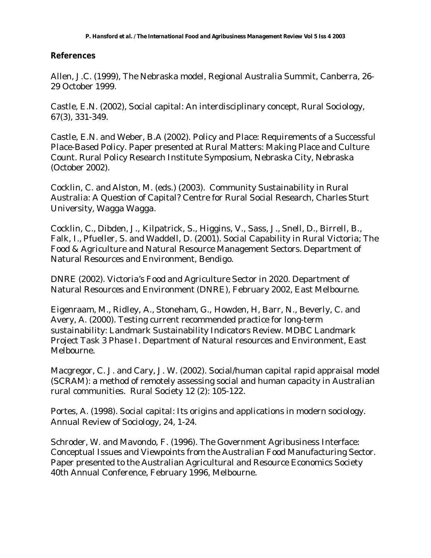# **References**

Allen, J.C. (1999), The Nebraska model, Regional Australia Summit, Canberra, 26- 29 October 1999.

Castle, E.N. (2002), Social capital: An interdisciplinary concept, Rural Sociology, 67(3), 331-349.

Castle, E.N. and Weber, B.A (2002). Policy and Place: Requirements of a Successful Place-Based Policy. Paper presented at Rural Matters: Making Place and Culture Count. Rural Policy Research Institute Symposium, Nebraska City, Nebraska (October 2002).

Cocklin, C. and Alston, M. (eds.) (2003). Community Sustainability in Rural Australia: A Question of Capital? Centre for Rural Social Research, Charles Sturt University, Wagga Wagga.

Cocklin, C., Dibden, J., Kilpatrick, S., Higgins, V., Sass, J., Snell, D., Birrell, B., Falk, I., Pfueller, S. and Waddell, D. (2001). Social Capability in Rural Victoria; The Food & Agriculture and Natural Resource Management Sectors. Department of Natural Resources and Environment, Bendigo.

DNRE (2002). Victoria's Food and Agriculture Sector in 2020. Department of Natural Resources and Environment (DNRE), February 2002, East Melbourne.

Eigenraam, M., Ridley, A., Stoneham, G., Howden, H, Barr, N., Beverly, C. and Avery, A. (2000). Testing current recommended practice for long-term sustainability: Landmark Sustainability Indicators Review. MDBC Landmark Project Task 3 Phase I. Department of Natural resources and Environment, East Melbourne.

Macgregor, C. J. and Cary, J. W. (2002). Social/human capital rapid appraisal model (SCRAM): a method of remotely assessing social and human capacity in Australian rural communities. Rural Society 12 (2): 105-122.

Portes, A. (1998). Social capital: Its origins and applications in modern sociology. Annual Review of Sociology, 24, 1-24.

Schroder, W. and Mavondo, F. (1996). The Government Agribusiness Interface: Conceptual Issues and Viewpoints from the Australian Food Manufacturing Sector. Paper presented to the Australian Agricultural and Resource Economics Society 40th Annual Conference, February 1996, Melbourne.